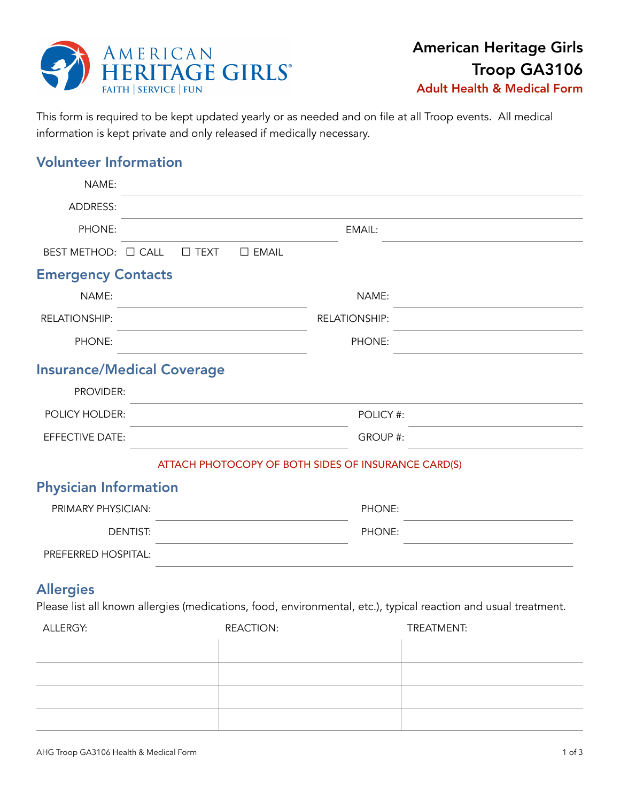

This form is required to be kept updated yearly or as needed and on file at all Troop events. All medical information is kept private and only released if medically necessary.

# Volunteer Information

| NAME:                        |                                                                                                                 |                      |            |
|------------------------------|-----------------------------------------------------------------------------------------------------------------|----------------------|------------|
| <b>ADDRESS:</b>              |                                                                                                                 |                      |            |
| PHONE:                       |                                                                                                                 | EMAIL:               |            |
| BEST METHOD: □ CALL          | $\square$ TEXT<br>$\square$ EMAIL                                                                               |                      |            |
| <b>Emergency Contacts</b>    |                                                                                                                 |                      |            |
| NAME:                        |                                                                                                                 | NAME:                |            |
| RELATIONSHIP:                |                                                                                                                 | <b>RELATIONSHIP:</b> |            |
| PHONE:                       |                                                                                                                 | PHONE:               |            |
|                              | <b>Insurance/Medical Coverage</b>                                                                               |                      |            |
| PROVIDER:                    |                                                                                                                 |                      |            |
| POLICY HOLDER:               |                                                                                                                 | POLICY #:            |            |
| EFFECTIVE DATE:              |                                                                                                                 | GROUP #:             |            |
|                              | ATTACH PHOTOCOPY OF BOTH SIDES OF INSURANCE CARD(S)                                                             |                      |            |
| <b>Physician Information</b> |                                                                                                                 |                      |            |
| PRIMARY PHYSICIAN:           |                                                                                                                 | PHONE:               |            |
|                              | <b>DENTIST:</b>                                                                                                 | PHONE:               |            |
| PREFERRED HOSPITAL:          |                                                                                                                 |                      |            |
| <b>Allergies</b>             |                                                                                                                 |                      |            |
|                              | Please list all known allergies (medications, food, environmental, etc.), typical reaction and usual treatment. |                      |            |
| ALLERGY:                     | <b>REACTION:</b>                                                                                                |                      | TREATMENT: |

| , , , , , , , , , , , , , , , , , , , | $11 - 10 - 11 - 11$ | $1111 - 711111 - 1111$ |
|---------------------------------------|---------------------|------------------------|
|                                       |                     |                        |
|                                       |                     |                        |
|                                       |                     |                        |
|                                       |                     |                        |
|                                       |                     |                        |
|                                       |                     |                        |
|                                       |                     |                        |
|                                       |                     |                        |
|                                       |                     |                        |
|                                       |                     |                        |
|                                       |                     |                        |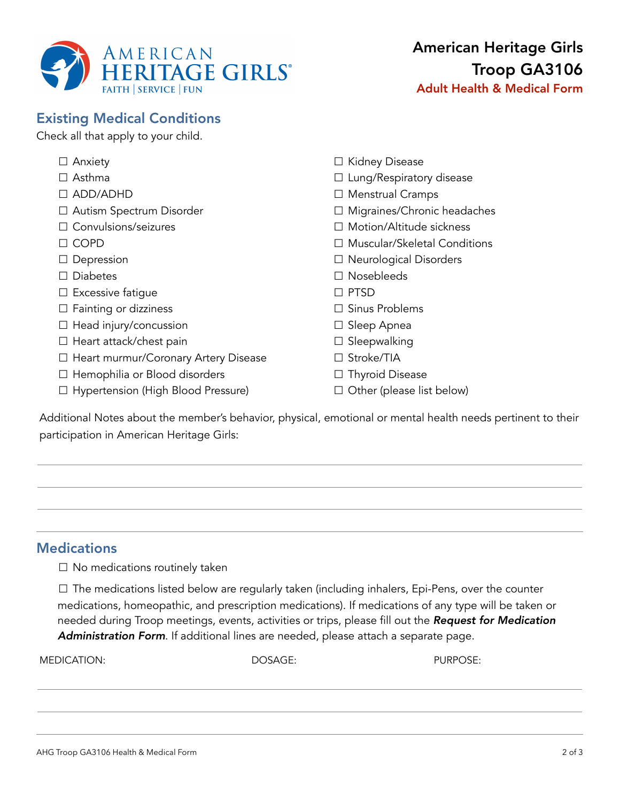

# Existing Medical Conditions

Check all that apply to your child.

| $\Box$ Anxiety                              | □ Kidney Disease                   |
|---------------------------------------------|------------------------------------|
| $\Box$ Asthma                               | $\Box$ Lung/Respiratory disease    |
| $\Box$ ADD/ADHD                             | $\Box$ Menstrual Cramps            |
| □ Autism Spectrum Disorder                  | $\Box$ Migraines/Chronic headaches |
| $\Box$ Convulsions/seizures                 | □ Motion/Altitude sickness         |
| $\Box$ COPD                                 | □ Muscular/Skeletal Conditions     |
| $\Box$ Depression                           | $\Box$ Neurological Disorders      |
| <b>Diabetes</b><br>$\perp$                  | $\Box$ Nosebleeds                  |
| $\Box$ Excessive fatigue                    | $\Box$ PTSD                        |
| $\Box$ Fainting or dizziness                | $\Box$ Sinus Problems              |
| $\Box$ Head injury/concussion               | $\Box$ Sleep Apnea                 |
| $\Box$ Heart attack/chest pain              | $\Box$ Sleepwalking                |
| $\Box$ Heart murmur/Coronary Artery Disease | $\Box$ Stroke/TIA                  |
| $\Box$ Hemophilia or Blood disorders        | $\Box$ Thyroid Disease             |
| □ Hypertension (High Blood Pressure)        | Other (please list below)          |
|                                             |                                    |

Additional Notes about the member's behavior, physical, emotional or mental health needs pertinent to their participation in American Heritage Girls:

## **Medications**

 $\Box$  No medications routinely taken

☐ The medications listed below are regularly taken (including inhalers, Epi-Pens, over the counter medications, homeopathic, and prescription medications). If medications of any type will be taken or needed during Troop meetings, events, activities or trips, please fill out the *Request for Medication Administration Form*. If additional lines are needed, please attach a separate page.

MEDICATION: DOSAGE: PURPOSE: